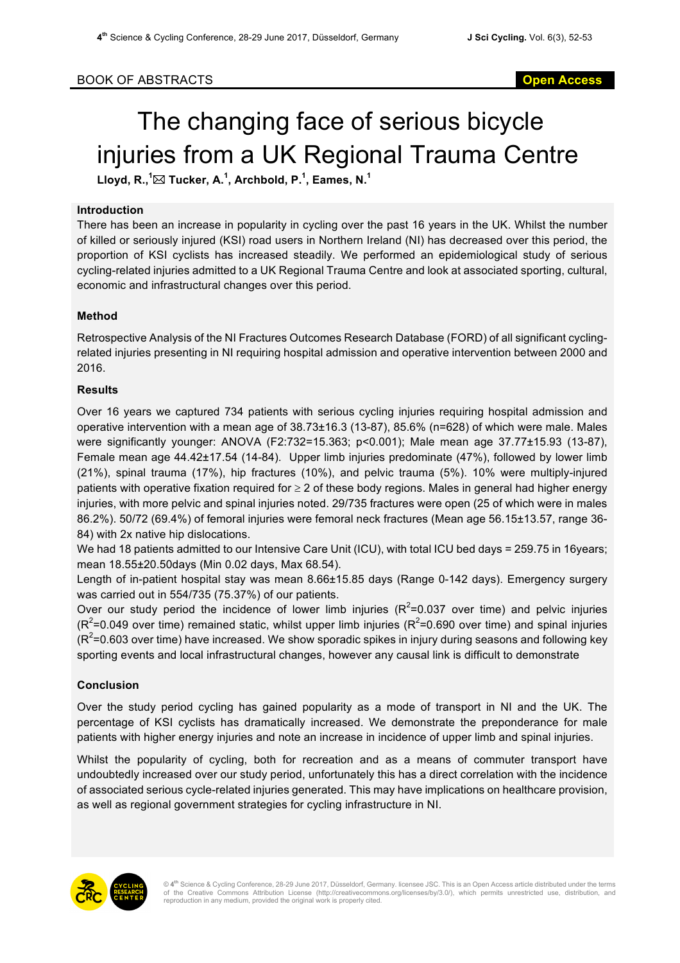# The changing face of serious bicycle injuries from a UK Regional Trauma Centre

 ${\sf L}$ loyd, R., $^1\!\!\boxtimes$  Tucker, A. $^1$ , Archbold, P. $^1$ , Eames, N. $^1$ 

#### **Introduction**

There has been an increase in popularity in cycling over the past 16 years in the UK. Whilst the number of killed or seriously injured (KSI) road users in Northern Ireland (NI) has decreased over this period, the proportion of KSI cyclists has increased steadily. We performed an epidemiological study of serious cycling-related injuries admitted to a UK Regional Trauma Centre and look at associated sporting, cultural, economic and infrastructural changes over this period.

### **Method**

Retrospective Analysis of the NI Fractures Outcomes Research Database (FORD) of all significant cyclingrelated injuries presenting in NI requiring hospital admission and operative intervention between 2000 and 2016.

### **Results**

Over 16 years we captured 734 patients with serious cycling injuries requiring hospital admission and operative intervention with a mean age of 38.73±16.3 (13-87), 85.6% (n=628) of which were male. Males were significantly younger: ANOVA (F2:732=15.363; p<0.001); Male mean age 37.77±15.93 (13-87), Female mean age 44.42±17.54 (14-84). Upper limb injuries predominate (47%), followed by lower limb (21%), spinal trauma (17%), hip fractures (10%), and pelvic trauma (5%). 10% were multiply-injured patients with operative fixation required for  $\geq 2$  of these body regions. Males in general had higher energy injuries, with more pelvic and spinal injuries noted. 29/735 fractures were open (25 of which were in males 86.2%). 50/72 (69.4%) of femoral injuries were femoral neck fractures (Mean age 56.15±13.57, range 36- 84) with 2x native hip dislocations.

We had 18 patients admitted to our Intensive Care Unit (ICU), with total ICU bed days = 259.75 in 16years; mean 18.55±20.50days (Min 0.02 days, Max 68.54).

Length of in-patient hospital stay was mean 8.66±15.85 days (Range 0-142 days). Emergency surgery was carried out in 554/735 (75.37%) of our patients.

Over our study period the incidence of lower limb injuries ( $R^2$ =0.037 over time) and pelvic injuries  $(R^2$ =0.049 over time) remained static, whilst upper limb injuries  $(R^2$ =0.690 over time) and spinal injuries  $(R^2$ =0.603 over time) have increased. We show sporadic spikes in injury during seasons and following key sporting events and local infrastructural changes, however any causal link is difficult to demonstrate

## **Conclusion**

Over the study period cycling has gained popularity as a mode of transport in NI and the UK. The percentage of KSI cyclists has dramatically increased. We demonstrate the preponderance for male patients with higher energy injuries and note an increase in incidence of upper limb and spinal injuries.

Whilst the popularity of cycling, both for recreation and as a means of commuter transport have undoubtedly increased over our study period, unfortunately this has a direct correlation with the incidence of associated serious cycle-related injuries generated. This may have implications on healthcare provision, as well as regional government strategies for cycling infrastructure in NI.